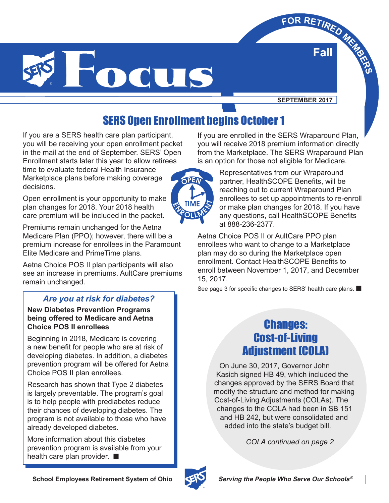

**SEPTEMBER 2017**

**Fall**  $\times$ **FOR RETIRED** MERRE

# SERS Open Enrollment begins October 1

If you are a SERS health care plan participant, you will be receiving your open enrollment packet in the mail at the end of September. SERS' Open Enrollment starts later this year to allow retirees time to evaluate federal Health Insurance Marketplace plans before making coverage decisions.

Open enrollment is your opportunity to make plan changes for 2018. Your 2018 health care premium will be included in the packet.

Premiums remain unchanged for the Aetna Medicare Plan (PPO); however, there will be a premium increase for enrollees in the Paramount Elite Medicare and PrimeTime plans.

Aetna Choice POS II plan participants will also see an increase in premiums. AultCare premiums remain unchanged.

#### *Are you at risk for diabetes?*

**New Diabetes Prevention Programs being offered to Medicare and Aetna Choice POS II enrollees**

Beginning in 2018, Medicare is covering a new benefit for people who are at risk of developing diabetes. In addition, a diabetes prevention program will be offered for Aetna Choice POS II plan enrollees.

Research has shown that Type 2 diabetes is largely preventable. The program's goal is to help people with prediabetes reduce their chances of developing diabetes. The program is not available to those who have already developed diabetes.

More information about this diabetes prevention program is available from your health care plan provider. ■

If you are enrolled in the SERS Wraparound Plan, you will receive 2018 premium information directly from the Marketplace. The SERS Wraparound Plan is an option for those not eligible for Medicare.



Representatives from our Wraparound partner, HealthSCOPE Benefits, will be reaching out to current Wraparound Plan enrollees to set up appointments to re-enroll or make plan changes for 2018. If you have any questions, call HealthSCOPE Benefits at 888-236-2377.

Aetna Choice POS II or AultCare PPO plan enrollees who want to change to a Marketplace plan may do so during the Marketplace open enrollment. Contact HealthSCOPE Benefits to enroll between November 1, 2017, and December 15, 2017.

See page 3 for specific changes to SERS' health care plans. ■

### Changes: Cost-of-Living Adjustment (COLA)

On June 30, 2017, Governor John Kasich signed HB 49, which included the changes approved by the SERS Board that modify the structure and method for making Cost-of-Living Adjustments (COLAs). The changes to the COLA had been in SB 151 and HB 242, but were consolidated and added into the state's budget bill.

*COLA continued on page 2*



®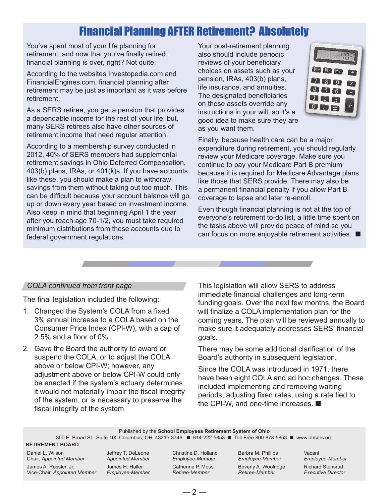## Financial Planning AFTER Retirement? Absolutely

You've spent most of your life planning for retirement, and now that you've finally retired, financial planning is over, right? Not quite.

According to the websites Investopedia.com and FinancialEngines.com, financial planning after retirement may be just as important as it was before retirement.

As a SERS retiree, you get a pension that provides a dependable income for the rest of your life, but, many SERS retirees also have other sources of retirement income that need regular attention.

According to a membership survey conducted in 2012, 40% of SERS members had supplemental retirement savings in Ohio Deferred Compensation, 403(b) plans, IRAs, or 401(k)s. If you have accounts like these, you should make a plan to withdraw savings from them without taking out too much. This can be difficult because your account balance will go up or down every year based on investment income. Also keep in mind that beginning April 1 the year after you reach age 70-1/2, you must take required minimum distributions from these accounts due to federal government regulations.

Your post-retirement planning also should include periodic reviews of your beneficiary choices on assets such as your pension, IRAs, 403(b) plans, life insurance, and annuities. The designated beneficiaries on these assets override any instructions in your will, so it's a good idea to make sure they are as you want them.



Finally, because health care can be a major expenditure during retirement, you should regularly review your Medicare coverage. Make sure you continue to pay your Medicare Part B premium because it is required for Medicare Advantage plans like those that SERS provide. There may also be a permanent financial penalty if you allow Part B coverage to lapse and later re-enroll.

Even though financial planning is not at the top of everyone's retirement to-do list, a little time spent on the tasks above will provide peace of mind so you can focus on more enjoyable retirement activities. ■

#### *COLA continued from front page*

The final legislation included the following:

- 1. Changed the System's COLA from a fixed 3% annual increase to a COLA based on the Consumer Price Index (CPI-W), with a cap of 2.5% and a floor of 0%
- 2. Gave the Board the authority to award or suspend the COLA, or to adjust the COLA above or below CPI-W; however, any adjustment above or below CPI-W could only be enacted if the system's actuary determines it would not materially impair the fiscal integrity of the system, or is necessary to preserve the fiscal integrity of the system

This legislation will allow SERS to address immediate financial challenges and long-term funding goals. Over the next few months, the Board will finalize a COLA implementation plan for the coming years. The plan will be reviewed annually to make sure it adequately addresses SERS' financial goals.

There may be some additional clarification of the Board's authority in subsequent legislation.

Since the COLA was introduced in 1971, there have been eight COLA and ad hoc changes. These included implementing and removing waiting periods, adjusting fixed rates, using a rate tied to the CPI-W, and one-time increases. ■

Published by the **School Employees Retirement System of Ohio**

300 E. Broad St., Suite 100 Columbus, OH 43215-3746 ■ 614-222-5853 ■ Toll-Free 800-878-5853 ■ www.ohsers.org

#### **RETIREMENT BOARD**

Daniel L. Wilson Chair, *Appointed Member*

James A. Rossler, Jr. Vice-Chair, *Appointed Member* Jeffrey T. DeLeone *Appointed Member* James H. Haller *Employee-Member* Christine D. Holland *Employee-Member*

Catherine P. Moss *Retiree-Member*

Barbra M. Phillips *Employee-Member*  Beverly A. Woolridge *Retiree-Member*

Vacant *Employee-Member*  Richard Stensrud *Executive Director*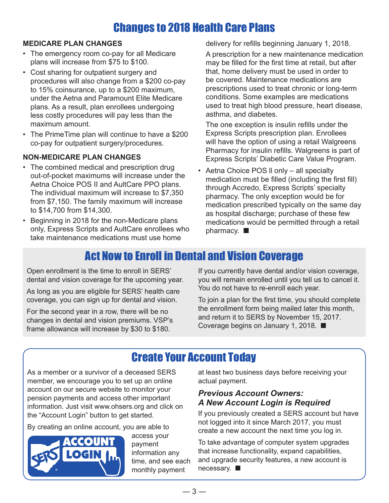# Changes to 2018 Health Care Plans

#### **MEDICARE PLAN CHANGES**

- The emergency room co-pay for all Medicare plans will increase from \$75 to \$100.
- Cost sharing for outpatient surgery and procedures will also change from a \$200 co-pay to 15% coinsurance, up to a \$200 maximum, under the Aetna and Paramount Elite Medicare plans. As a result, plan enrollees undergoing less costly procedures will pay less than the maximum amount.
- The PrimeTime plan will continue to have a \$200 co-pay for outpatient surgery/procedures.

#### **NON-MEDICARE PLAN CHANGES**

- The combined medical and prescription drug out-of-pocket maximums will increase under the Aetna Choice POS II and AultCare PPO plans. The individual maximum will increase to \$7,350 from \$7,150. The family maximum will increase to \$14,700 from \$14,300.
- Beginning in 2018 for the non-Medicare plans only, Express Scripts and AultCare enrollees who take maintenance medications must use home

delivery for refills beginning January 1, 2018.

A prescription for a new maintenance medication may be filled for the first time at retail, but after that, home delivery must be used in order to be covered. Maintenance medications are prescriptions used to treat chronic or long-term conditions. Some examples are medications used to treat high blood pressure, heart disease, asthma, and diabetes.

The one exception is insulin refills under the Express Scripts prescription plan. Enrollees will have the option of using a retail Walgreens Pharmacy for insulin refills. Walgreens is part of Express Scripts' Diabetic Care Value Program.

• Aetna Choice POS ll only – all specialty medication must be filled (including the first fill) through Accredo, Express Scripts' specialty pharmacy. The only exception would be for medication prescribed typically on the same day as hospital discharge; purchase of these few medications would be permitted through a retail pharmacy. ■

### Act Now to Enroll in Dental and Vision Coverage

Open enrollment is the time to enroll in SERS' dental and vision coverage for the upcoming year.

As long as you are eligible for SERS' health care coverage, you can sign up for dental and vision.

For the second year in a row, there will be no changes in dental and vision premiums. VSP's frame allowance will increase by \$30 to \$180.

If you currently have dental and/or vision coverage, you will remain enrolled until you tell us to cancel it. You do not have to re-enroll each year.

To join a plan for the first time, you should complete the enrollment form being mailed later this month, and return it to SERS by November 15, 2017. Coverage begins on January 1, 2018. ■

## Create Your Account Today

As a member or a survivor of a deceased SERS member, we encourage you to set up an online account on our secure website to monitor your pension payments and access other important information. Just visit www.ohsers.org and click on the "Account Login" button to get started.

By creating an online account, you are able to



access your payment information any time, and see each monthly payment

at least two business days before receiving your actual payment.

#### *Previous Account Owners: A New Account Login is Required*

If you previously created a SERS account but have not logged into it since March 2017, you must create a new account the next time you log in.

To take advantage of computer system upgrades that increase functionality, expand capabilities, and upgrade security features, a new account is necessary. ■

 $-3-$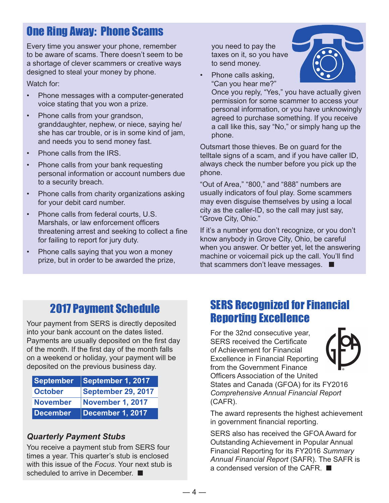## One Ring Away: Phone Scams

Every time you answer your phone, remember to be aware of scams. There doesn't seem to be a shortage of clever scammers or creative ways designed to steal your money by phone.

Watch for:

- Phone messages with a computer-generated voice stating that you won a prize.
- Phone calls from your grandson, granddaughter, nephew, or niece, saying he/ she has car trouble, or is in some kind of jam, and needs you to send money fast.
- Phone calls from the IRS.
- Phone calls from your bank requesting personal information or account numbers due to a security breach.
- Phone calls from charity organizations asking for your debit card number.
- Phone calls from federal courts, U.S. Marshals, or law enforcement officers threatening arrest and seeking to collect a fine for failing to report for jury duty.
- Phone calls saying that you won a money prize, but in order to be awarded the prize,

you need to pay the taxes on it, so you have to send money.

• Phone calls asking, "Can you hear me?"

Once you reply, "Yes," you have actually given permission for some scammer to access your personal information, or you have unknowingly agreed to purchase something. If you receive a call like this, say "No," or simply hang up the phone.

Outsmart those thieves. Be on guard for the telltale signs of a scam, and if you have caller ID, always check the number before you pick up the phone.

"Out of Area," "800," and "888" numbers are usually indicators of foul play. Some scammers may even disguise themselves by using a local city as the caller-ID, so the call may just say, "Grove City, Ohio."

If it's a number you don't recognize, or you don't know anybody in Grove City, Ohio, be careful when you answer. Or better yet, let the answering machine or voicemail pick up the call. You'll find that scammers don't leave messages. ■

# 2017 Payment Schedule

Your payment from SERS is directly deposited into your bank account on the dates listed. Payments are usually deposited on the first day of the month. If the first day of the month falls on a weekend or holiday, your payment will be deposited on the previous business day.

| <b>September</b> | September 1, 2017       |
|------------------|-------------------------|
| <b>October</b>   | September 29, 2017      |
| <b>November</b>  | <b>November 1, 2017</b> |
| <b>December</b>  | December 1, 2017        |

### *Quarterly Payment Stubs*

You receive a payment stub from SERS four times a year. This quarter's stub is enclosed with this issue of the *Focus*. Your next stub is scheduled to arrive in December. ■

## SERS Recognized for Financial Reporting Excellence

For the 32nd consecutive year, SERS received the Certificate of Achievement for Financial Excellence in Financial Reporting from the Government Finance Officers Association of the United States and Canada (GFOA) for its FY2016 *Comprehensive Annual Financial Report*  (CAFR).

The award represents the highest achievement in government financial reporting.

SERS also has received the GFOA Award for Outstanding Achievement in Popular Annual Financial Reporting for its FY2016 *Summary Annual Financial Report* (SAFR). The SAFR is a condensed version of the CAFR. ■



 $-4-$ 

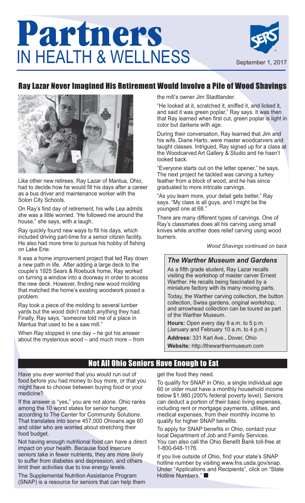

### Ray Lazar Never Imagined His Retirement Would Involve a Pile of Wood Shavings



Like other new retirees, Ray Lazar of Mantua, Ohio, had to decide how he would fill his days after a career as a bus driver and maintenance worker with the Solon City Schools.

On Ray's first day of retirement, his wife Lea admits she was a little worried. "He followed me around the house," she says, with a laugh.

Ray quickly found new ways to fill his days, which included driving part-time for a senior citizen facility. He also had more time to pursue his hobby of fishing on Lake Erie.

It was a home improvement project that led Ray down a new path in life. After adding a large deck to the couple's 1925 Sears & Roebuck home, Ray worked on turning a window into a doorway in order to access the new deck. However, finding new wood molding that matched the home's existing woodwork posed a problem.

Ray took a piece of the molding to several lumber yards but the wood didn't match anything they had. Finally, Ray says, "someone told me of a place in Mantua that used to be a saw mill."

When Ray stopped in one day – he got his answer about the mysterious wood – and much more – from the mill's owner Jim Stadtlander.

"He looked at it, scratched it, sniffed it, and licked it, and said it was green poplar," Ray says. It was then that Ray learned when first cut, green poplar is light in color but darkens with age.

During their conversation, Ray learned that Jim and his wife, Diane Harto, were master woodcarvers and taught classes. Intrigued, Ray signed up for a class at the Woodcarved Art Gallery & Studio and he hasn't looked back.

"Everyone starts out on the letter opener," he says. The next project he tackled was carving a turkey feather from a block of wood, and he has since graduated to more intricate carvings.

"As you learn more, your detail gets better," Ray says. "My class is all guys, and I might be the youngest one at 68."

There are many different types of carvings. One of Ray's classmates does all his carving using small knives while another does relief carving using wood burners.

*Wood Shavings continued on back*

### *The Warther Museum and Gardens*

As a fifth grade student, Ray Lazar recalls visiting the workshop of master carver Ernest Warther. He recalls being fascinated by a miniature factory with its many moving parts.

Today, the Warther carving collection, the button collection, Swiss gardens, original workshop, and arrowhead collection can be toured as part of the Warther Museum.

**Hours:** Open every day 9 a.m. to 5 p.m. (January and February 10 a.m. to 4 p.m.)

**Address:** 331 Karl Ave., Dover, Ohio

**Website:** http:/**/**thewarthermuseum.com

### Not All Ohio Seniors Have Enough to Eat

Have you ever worried that you would run out of food before you had money to buy more, or that you might have to choose between buying food or your medicine?

If the answer is "yes," you are not alone. Ohio ranks among the 10 worst states for senior hunger, according to The Center for Community Solutions. That translates into some 457,000 Ohioans age 60 and older who are worried about stretching their food budget.

Not having enough nutritional food can have a direct impact on your health. Because food insecure seniors take in fewer nutrients, they are more likely to suffer from diabetes and depression, and others limit their activities due to low energy levels.

The Supplemental Nutrition Assistance Program (SNAP) is a resource for seniors that can help them get the food they need.

To qualify for SNAP in Ohio, a single individual age 60 or older must have a monthly household income below \$1,980 (200% federal poverty level). Seniors can deduct a portion of their basic living expenses, including rent or mortgage payments, utilities, and medical expenses, from their monthly income to qualify for higher SNAP benefits.

To apply for SNAP benefits in Ohio, contact your local Department of Job and Family Services. You can also call the Ohio Benefit Bank toll-free at 1-800-648-1176.

If you live outside of Ohio, find your state's SNAP hotline number by visiting www.fns.usda.gov/snap. Under "Applications and Recipients", click on "State Hotline Numbers." ■